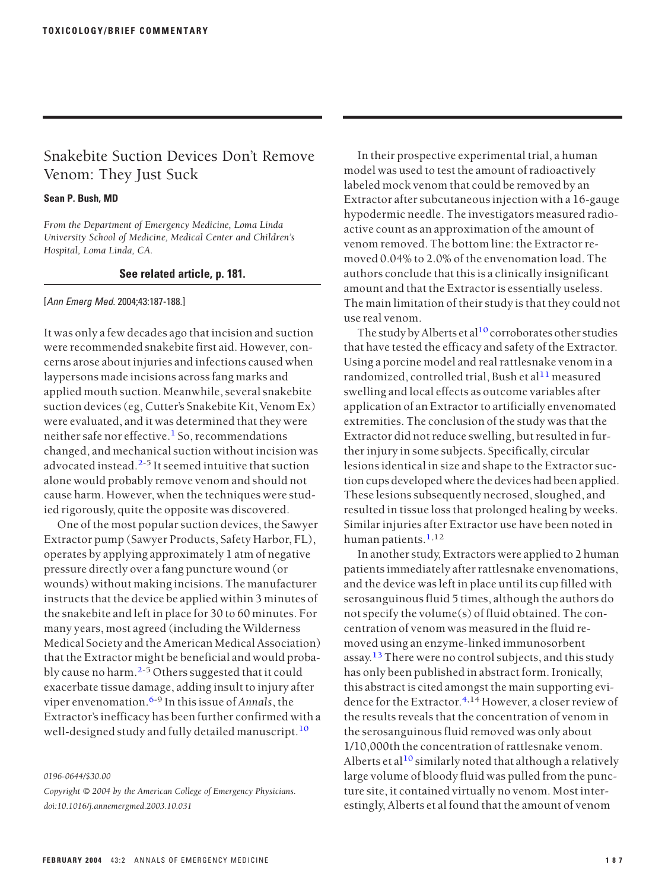## Snakebite Suction Devices Don't Remove Venom: They Just Suck

## **Sean P. Bush, MD**

*From the Department of Emergency Medicine, Loma Linda University School of Medicine, Medical Center and Children's Hospital, Loma Linda, CA.*

## **See related article, p. 181.**

[Ann Emerg Med. 2004;43:187-188.]

It was only a few decades ago that incision and suction were recommended snakebite first aid. However, concerns arose about injuries and infections caused when laypersons made incisions across fang marks and applied mouth suction. Meanwhile, several snakebite suction devices (eg, Cutter's Snakebite Kit, Venom Ex) were evaluated, and it was determined that they were neither safe nor effective.<sup>[1](#page-1-0)</sup> So, recommendations changed, and mechanical suction without incision was advocated instead.<sup>[2-5](#page-1-0)</sup> It seemed intuitive that suction alone would probably remove venom and should not cause harm. However, when the techniques were studied rigorously, quite the opposite was discovered.

One of the most popular suction devices, the Sawyer Extractor pump (Sawyer Products, Safety Harbor, FL), operates by applying approximately 1 atm of negative pressure directly over a fang puncture wound (or wounds) without making incisions. The manufacturer instructs that the device be applied within 3 minutes of the snakebite and left in place for 30 to 60 minutes. For many years, most agreed (including the Wilderness Medical Society and the American Medical Association) that the Extractor might be beneficial and would proba-bly cause no harm.<sup>[2-](#page-1-0)5</sup> Others suggested that it could exacerbate tissue damage, adding insult to injury after viper envenomation.[6-](#page-1-0)9 In thisissue of *Annals*, the Extractor's inefficacy has been further confirmed with a well-designed study and fully detailed manuscript.<sup>[10](#page-1-0)</sup>

*0196-0644/\$30.00*

*Copyright © 2004 by the American College of Emergency Physicians. doi:10.1016/j.annemergmed.2003.10.031*

In their prospective experimental trial, a human model was used to test the amount of radioactively labeled mock venom that could be removed by an Extractor after subcutaneous injection with a 16-gauge hypodermic needle. The investigators measured radioactive count as an approximation of the amount of venom removed. The bottom line: the Extractor removed 0.04% to 2.0% of the envenomation load. The authors conclude that this is a clinically insignificant amount and that the Extractor is essentially useless. The main limitation of their study is that they could not use real venom.

The study by Alberts et al<sup>[10](#page-1-0)</sup> corroborates other studies that have tested the efficacy and safety of the Extractor. Using a porcine model and real rattlesnake venom in a randomized, controlled trial, Bush et al $11$  measured swelling and local effects as outcome variables after application of an Extractor to artificially envenomated extremities. The conclusion of the study was that the Extractor did not reduce swelling, but resulted in further injury in some subjects. Specifically, circular lesions identical in size and shape to the Extractor suction cups developed where the devices had been applied. These lesions subsequently necrosed, sloughed, and resulted in tissue loss that prolonged healing by weeks. Similar injuries after Extractor use have been noted in human patients. $1,12$  $1,12$ 

In another study, Extractors were applied to 2 human patients immediately after rattlesnake envenomations, and the device was left in place until its cup filled with serosanguinous fluid 5 times, although the authors do not specify the volume(s) of fluid obtained. The concentration of venom was measured in the fluid removed using an enzyme-linked immunosorbent assay.<sup>[13](#page-1-0)</sup> There were no control subjects, and this study has only been published in abstract form. Ironically, this abstract is cited amongst the main supporting evi-dence for the Extractor.<sup>[4,](#page-1-0)14</sup> However, a closer review of the results reveals that the concentration of venom in the serosanguinous fluid removed was only about 1/10,000th the concentration of rattlesnake venom. Alberts et al<sup>[10](#page-1-0)</sup> similarly noted that although a relatively large volume of bloody fluid was pulled from the puncture site, it contained virtually no venom. Most interestingly, Alberts et al found that the amount of venom